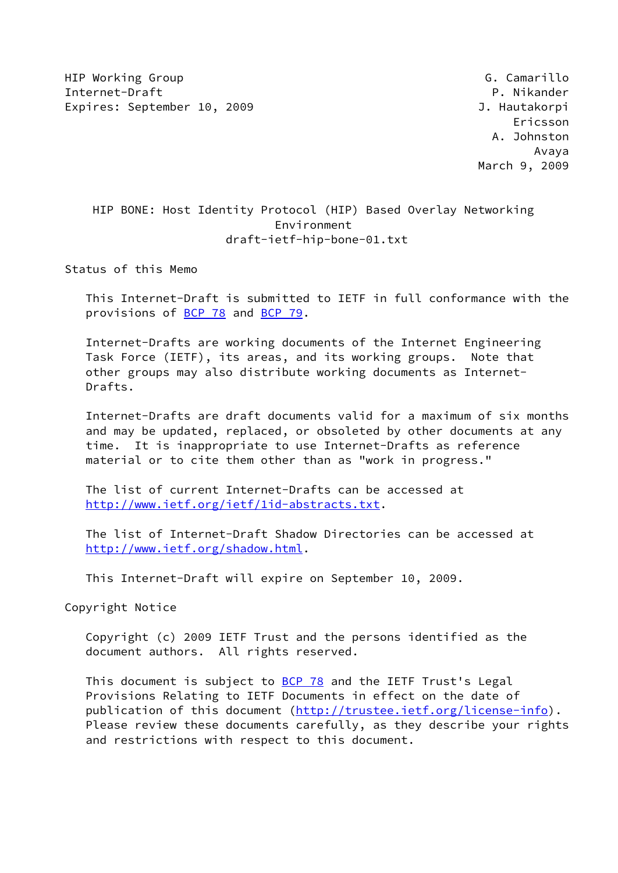HIP Working Group G. Camarillo Internet-Draft P. Nikander Expires: September 10, 2009 J. Hautakorpi

 Ericsson A. Johnston Avaya March 9, 2009

# HIP BONE: Host Identity Protocol (HIP) Based Overlay Networking Environment draft-ietf-hip-bone-01.txt

Status of this Memo

 This Internet-Draft is submitted to IETF in full conformance with the provisions of [BCP 78](https://datatracker.ietf.org/doc/pdf/bcp78) and [BCP 79](https://datatracker.ietf.org/doc/pdf/bcp79).

 Internet-Drafts are working documents of the Internet Engineering Task Force (IETF), its areas, and its working groups. Note that other groups may also distribute working documents as Internet- Drafts.

 Internet-Drafts are draft documents valid for a maximum of six months and may be updated, replaced, or obsoleted by other documents at any time. It is inappropriate to use Internet-Drafts as reference material or to cite them other than as "work in progress."

 The list of current Internet-Drafts can be accessed at <http://www.ietf.org/ietf/1id-abstracts.txt>.

 The list of Internet-Draft Shadow Directories can be accessed at <http://www.ietf.org/shadow.html>.

This Internet-Draft will expire on September 10, 2009.

Copyright Notice

 Copyright (c) 2009 IETF Trust and the persons identified as the document authors. All rights reserved.

This document is subject to **[BCP 78](https://datatracker.ietf.org/doc/pdf/bcp78)** and the IETF Trust's Legal Provisions Relating to IETF Documents in effect on the date of publication of this document [\(http://trustee.ietf.org/license-info](http://trustee.ietf.org/license-info)). Please review these documents carefully, as they describe your rights and restrictions with respect to this document.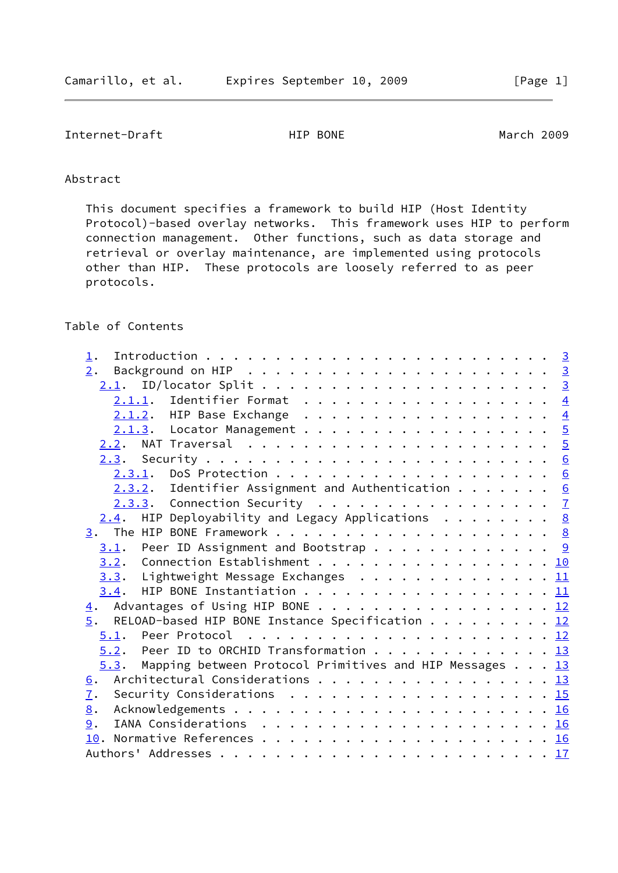# Internet-Draft **HIP BONE** March 2009

# Abstract

 This document specifies a framework to build HIP (Host Identity Protocol)-based overlay networks. This framework uses HIP to perform connection management. Other functions, such as data storage and retrieval or overlay maintenance, are implemented using protocols other than HIP. These protocols are loosely referred to as peer protocols.

# Table of Contents

| $\perp$ .                                                         |  |  |
|-------------------------------------------------------------------|--|--|
| 2.                                                                |  |  |
|                                                                   |  |  |
| $2.1.1.$ Identifier Format 4                                      |  |  |
| 2.1.2. HIP Base Exchange 4                                        |  |  |
| 2.1.3. Locator Management 5                                       |  |  |
|                                                                   |  |  |
|                                                                   |  |  |
|                                                                   |  |  |
| $2.3.2$ . Identifier Assignment and Authentication 6              |  |  |
| $2.3.3.$ Connection Security 7                                    |  |  |
| $2.4$ . HIP Deployability and Legacy Applications 8               |  |  |
|                                                                   |  |  |
| $\underline{3.1}$ . Peer ID Assignment and Bootstrap 9            |  |  |
| $\underline{3.2}$ . Connection Establishment 10                   |  |  |
| $3.3.$ Lightweight Message Exchanges 11                           |  |  |
| $3.4$ . HIP BONE Instantiation 11                                 |  |  |
| 4. Advantages of Using HIP BONE 12                                |  |  |
| $\underline{5}$ . RELOAD-based HIP BONE Instance Specification 12 |  |  |
|                                                                   |  |  |
| $5.2$ . Peer ID to ORCHID Transformation 13                       |  |  |
| 5.3. Mapping between Protocol Primitives and HIP Messages 13      |  |  |
| 6. Architectural Considerations 13                                |  |  |
| $\mathbf{I}$ .                                                    |  |  |
| 8.                                                                |  |  |
| 9.                                                                |  |  |
|                                                                   |  |  |
|                                                                   |  |  |
|                                                                   |  |  |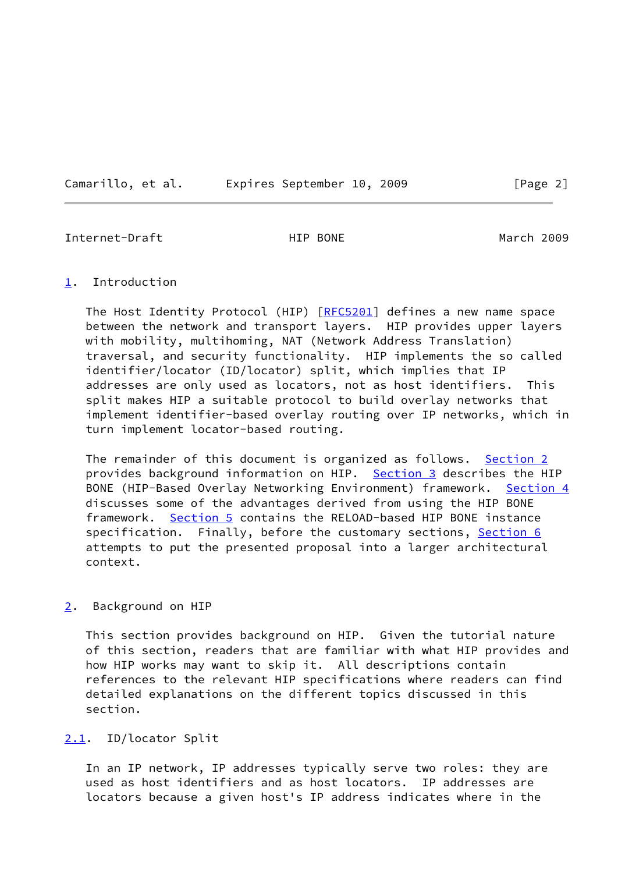Camarillo, et al. Expires September 10, 2009 [Page 2]

<span id="page-2-1"></span>Internet-Draft **HIP BONE** HIP BONE March 2009

<span id="page-2-0"></span>[1](#page-2-0). Introduction

The Host Identity Protocol (HIP) [\[RFC5201](https://datatracker.ietf.org/doc/pdf/rfc5201)] defines a new name space between the network and transport layers. HIP provides upper layers with mobility, multihoming, NAT (Network Address Translation) traversal, and security functionality. HIP implements the so called identifier/locator (ID/locator) split, which implies that IP addresses are only used as locators, not as host identifiers. This split makes HIP a suitable protocol to build overlay networks that implement identifier-based overlay routing over IP networks, which in turn implement locator-based routing.

The remainder of this document is organized as follows. [Section 2](#page-2-2) provides background information on HIP. [Section 3](#page-8-0) describes the HIP BONE (HIP-Based Overlay Networking Environment) framework. [Section 4](#page-12-0) discusses some of the advantages derived from using the HIP BONE framework. [Section 5](#page-13-0) contains the RELOAD-based HIP BONE instance specification. Finally, before the customary sections, [Section 6](#page-14-0) attempts to put the presented proposal into a larger architectural context.

### <span id="page-2-2"></span>[2](#page-2-2). Background on HIP

 This section provides background on HIP. Given the tutorial nature of this section, readers that are familiar with what HIP provides and how HIP works may want to skip it. All descriptions contain references to the relevant HIP specifications where readers can find detailed explanations on the different topics discussed in this section.

### <span id="page-2-3"></span>[2.1](#page-2-3). ID/locator Split

 In an IP network, IP addresses typically serve two roles: they are used as host identifiers and as host locators. IP addresses are locators because a given host's IP address indicates where in the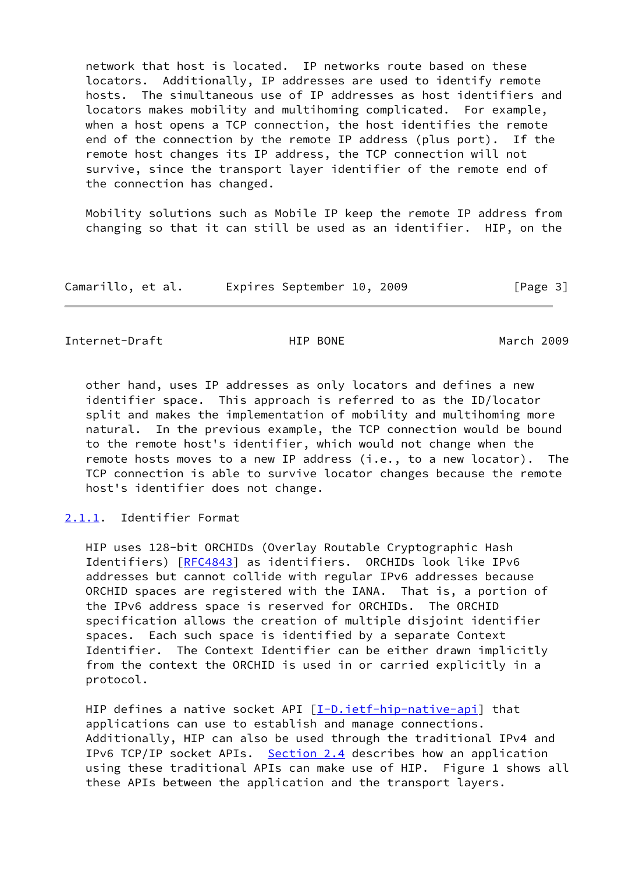network that host is located. IP networks route based on these locators. Additionally, IP addresses are used to identify remote hosts. The simultaneous use of IP addresses as host identifiers and locators makes mobility and multihoming complicated. For example, when a host opens a TCP connection, the host identifies the remote end of the connection by the remote IP address (plus port). If the remote host changes its IP address, the TCP connection will not survive, since the transport layer identifier of the remote end of the connection has changed.

 Mobility solutions such as Mobile IP keep the remote IP address from changing so that it can still be used as an identifier. HIP, on the

| Camarillo, et al. |  | Expires September 10, 2009 |  |  | [Page 3] |  |  |
|-------------------|--|----------------------------|--|--|----------|--|--|
|-------------------|--|----------------------------|--|--|----------|--|--|

<span id="page-3-1"></span>Internet-Draft **HIP BONE** March 2009

 other hand, uses IP addresses as only locators and defines a new identifier space. This approach is referred to as the ID/locator split and makes the implementation of mobility and multihoming more natural. In the previous example, the TCP connection would be bound to the remote host's identifier, which would not change when the remote hosts moves to a new IP address (i.e., to a new locator). The TCP connection is able to survive locator changes because the remote host's identifier does not change.

<span id="page-3-0"></span>[2.1.1](#page-3-0). Identifier Format

 HIP uses 128-bit ORCHIDs (Overlay Routable Cryptographic Hash Identifiers) [\[RFC4843](https://datatracker.ietf.org/doc/pdf/rfc4843)] as identifiers. ORCHIDs look like IPv6 addresses but cannot collide with regular IPv6 addresses because ORCHID spaces are registered with the IANA. That is, a portion of the IPv6 address space is reserved for ORCHIDs. The ORCHID specification allows the creation of multiple disjoint identifier spaces. Each such space is identified by a separate Context Identifier. The Context Identifier can be either drawn implicitly from the context the ORCHID is used in or carried explicitly in a protocol.

HIP defines a native socket API  $[I-D.iett-hip-native-api]$  that applications can use to establish and manage connections. Additionally, HIP can also be used through the traditional IPv4 and IPv6 TCP/IP socket APIs. [Section 2.4](#page-7-1) describes how an application using these traditional APIs can make use of HIP. Figure 1 shows all these APIs between the application and the transport layers.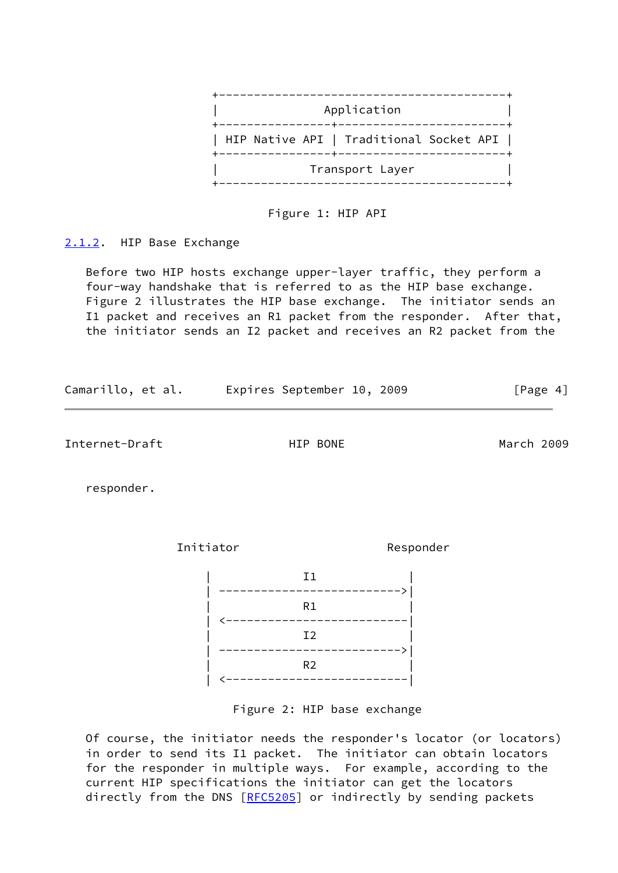

Figure 1: HIP API

<span id="page-4-0"></span>[2.1.2](#page-4-0). HIP Base Exchange

 Before two HIP hosts exchange upper-layer traffic, they perform a four-way handshake that is referred to as the HIP base exchange. Figure 2 illustrates the HIP base exchange. The initiator sends an I1 packet and receives an R1 packet from the responder. After that, the initiator sends an I2 packet and receives an R2 packet from the

| Camarillo, et al. | Expires September 10, 2009 |  | [Page 4] |  |
|-------------------|----------------------------|--|----------|--|
|                   |                            |  |          |  |

<span id="page-4-1"></span>Internet-Draft HIP BONE March 2009

responder.

Initiator Responder



Figure 2: HIP base exchange

 Of course, the initiator needs the responder's locator (or locators) in order to send its I1 packet. The initiator can obtain locators for the responder in multiple ways. For example, according to the current HIP specifications the initiator can get the locators directly from the DNS [[RFC5205](https://datatracker.ietf.org/doc/pdf/rfc5205)] or indirectly by sending packets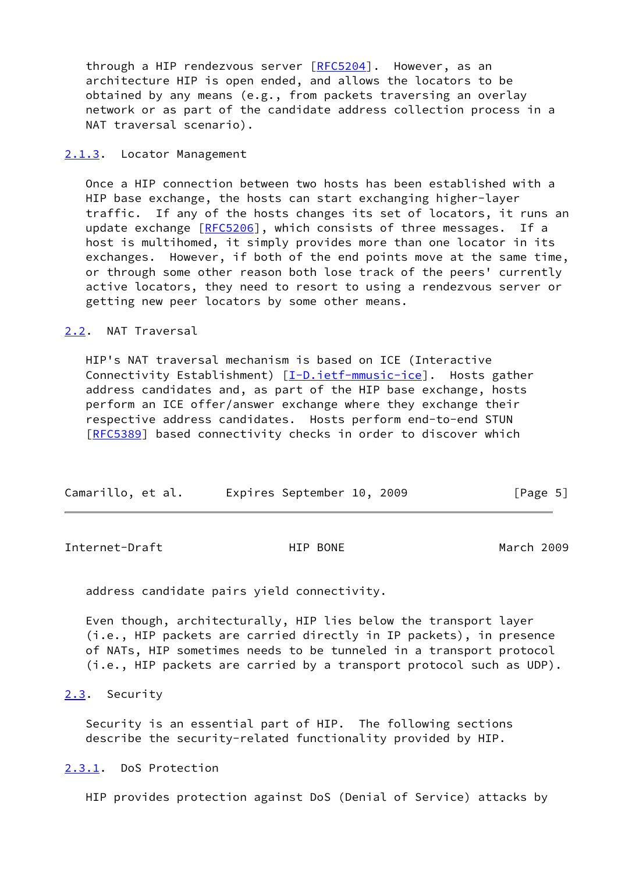through a HIP rendezvous server [\[RFC5204](https://datatracker.ietf.org/doc/pdf/rfc5204)]. However, as an architecture HIP is open ended, and allows the locators to be obtained by any means (e.g., from packets traversing an overlay network or as part of the candidate address collection process in a NAT traversal scenario).

### <span id="page-5-0"></span>[2.1.3](#page-5-0). Locator Management

 Once a HIP connection between two hosts has been established with a HIP base exchange, the hosts can start exchanging higher-layer traffic. If any of the hosts changes its set of locators, it runs an update exchange [\[RFC5206](https://datatracker.ietf.org/doc/pdf/rfc5206)], which consists of three messages. If a host is multihomed, it simply provides more than one locator in its exchanges. However, if both of the end points move at the same time, or through some other reason both lose track of the peers' currently active locators, they need to resort to using a rendezvous server or getting new peer locators by some other means.

### <span id="page-5-1"></span>[2.2](#page-5-1). NAT Traversal

 HIP's NAT traversal mechanism is based on ICE (Interactive Connectivity Establishment) [\[I-D.ietf-mmusic-ice](#page-18-1)]. Hosts gather address candidates and, as part of the HIP base exchange, hosts perform an ICE offer/answer exchange where they exchange their respective address candidates. Hosts perform end-to-end STUN [\[RFC5389](https://datatracker.ietf.org/doc/pdf/rfc5389)] based connectivity checks in order to discover which

| Camarillo, et al. |  | Expires September 10, 2009 |  |  | [Page 5] |
|-------------------|--|----------------------------|--|--|----------|
|-------------------|--|----------------------------|--|--|----------|

<span id="page-5-3"></span>Internet-Draft HIP BONE March 2009

address candidate pairs yield connectivity.

 Even though, architecturally, HIP lies below the transport layer (i.e., HIP packets are carried directly in IP packets), in presence of NATs, HIP sometimes needs to be tunneled in a transport protocol (i.e., HIP packets are carried by a transport protocol such as UDP).

### <span id="page-5-2"></span>[2.3](#page-5-2). Security

 Security is an essential part of HIP. The following sections describe the security-related functionality provided by HIP.

<span id="page-5-4"></span>[2.3.1](#page-5-4). DoS Protection

HIP provides protection against DoS (Denial of Service) attacks by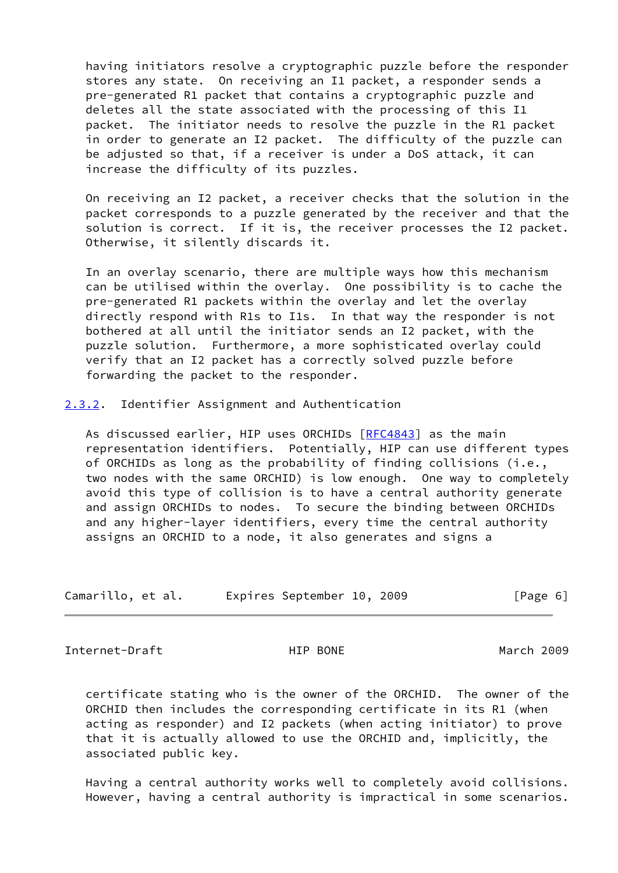having initiators resolve a cryptographic puzzle before the responder stores any state. On receiving an I1 packet, a responder sends a pre-generated R1 packet that contains a cryptographic puzzle and deletes all the state associated with the processing of this I1 packet. The initiator needs to resolve the puzzle in the R1 packet in order to generate an I2 packet. The difficulty of the puzzle can be adjusted so that, if a receiver is under a DoS attack, it can increase the difficulty of its puzzles.

 On receiving an I2 packet, a receiver checks that the solution in the packet corresponds to a puzzle generated by the receiver and that the solution is correct. If it is, the receiver processes the I2 packet. Otherwise, it silently discards it.

 In an overlay scenario, there are multiple ways how this mechanism can be utilised within the overlay. One possibility is to cache the pre-generated R1 packets within the overlay and let the overlay directly respond with R1s to I1s. In that way the responder is not bothered at all until the initiator sends an I2 packet, with the puzzle solution. Furthermore, a more sophisticated overlay could verify that an I2 packet has a correctly solved puzzle before forwarding the packet to the responder.

<span id="page-6-0"></span>[2.3.2](#page-6-0). Identifier Assignment and Authentication

As discussed earlier, HIP uses ORCHIDs [\[RFC4843](https://datatracker.ietf.org/doc/pdf/rfc4843)] as the main representation identifiers. Potentially, HIP can use different types of ORCHIDs as long as the probability of finding collisions (i.e., two nodes with the same ORCHID) is low enough. One way to completely avoid this type of collision is to have a central authority generate and assign ORCHIDs to nodes. To secure the binding between ORCHIDs and any higher-layer identifiers, every time the central authority assigns an ORCHID to a node, it also generates and signs a

| Camarillo, et al. | Expires September 10, 2009 |  | [Page 6] |
|-------------------|----------------------------|--|----------|
|-------------------|----------------------------|--|----------|

<span id="page-6-1"></span>Internet-Draft HIP BONE March 2009

 certificate stating who is the owner of the ORCHID. The owner of the ORCHID then includes the corresponding certificate in its R1 (when acting as responder) and I2 packets (when acting initiator) to prove that it is actually allowed to use the ORCHID and, implicitly, the associated public key.

 Having a central authority works well to completely avoid collisions. However, having a central authority is impractical in some scenarios.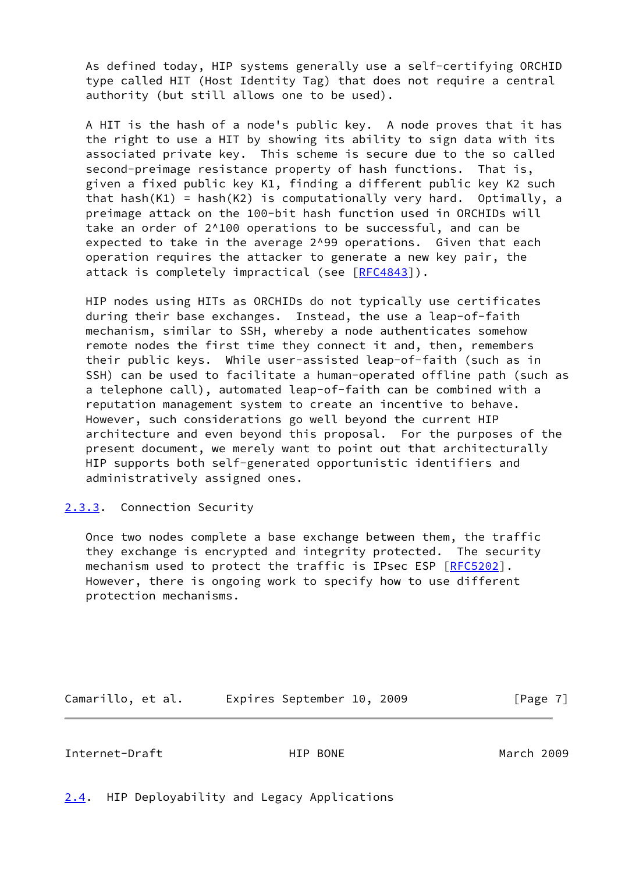As defined today, HIP systems generally use a self-certifying ORCHID type called HIT (Host Identity Tag) that does not require a central authority (but still allows one to be used).

 A HIT is the hash of a node's public key. A node proves that it has the right to use a HIT by showing its ability to sign data with its associated private key. This scheme is secure due to the so called second-preimage resistance property of hash functions. That is, given a fixed public key K1, finding a different public key K2 such that hash(K1) = hash(K2) is computationally very hard. Optimally, a preimage attack on the 100-bit hash function used in ORCHIDs will take an order of 2^100 operations to be successful, and can be expected to take in the average 2^99 operations. Given that each operation requires the attacker to generate a new key pair, the attack is completely impractical (see [[RFC4843](https://datatracker.ietf.org/doc/pdf/rfc4843)]).

 HIP nodes using HITs as ORCHIDs do not typically use certificates during their base exchanges. Instead, the use a leap-of-faith mechanism, similar to SSH, whereby a node authenticates somehow remote nodes the first time they connect it and, then, remembers their public keys. While user-assisted leap-of-faith (such as in SSH) can be used to facilitate a human-operated offline path (such as a telephone call), automated leap-of-faith can be combined with a reputation management system to create an incentive to behave. However, such considerations go well beyond the current HIP architecture and even beyond this proposal. For the purposes of the present document, we merely want to point out that architecturally HIP supports both self-generated opportunistic identifiers and administratively assigned ones.

### <span id="page-7-0"></span>[2.3.3](#page-7-0). Connection Security

 Once two nodes complete a base exchange between them, the traffic they exchange is encrypted and integrity protected. The security mechanism used to protect the traffic is IPsec ESP [[RFC5202\]](https://datatracker.ietf.org/doc/pdf/rfc5202). However, there is ongoing work to specify how to use different protection mechanisms.

Camarillo, et al. Expires September 10, 2009 [Page 7]

<span id="page-7-2"></span>Internet-Draft HIP BONE March 2009

<span id="page-7-1"></span>[2.4](#page-7-1). HIP Deployability and Legacy Applications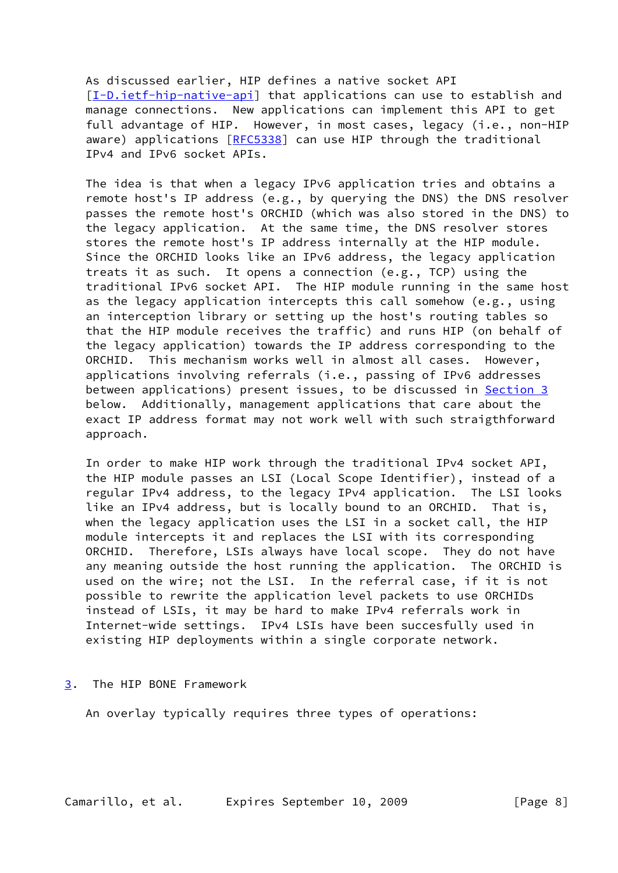As discussed earlier, HIP defines a native socket API [\[I-D.ietf-hip-native-api](#page-17-4)] that applications can use to establish and manage connections. New applications can implement this API to get full advantage of HIP. However, in most cases, legacy (i.e., non-HIP aware) applications [\[RFC5338](https://datatracker.ietf.org/doc/pdf/rfc5338)] can use HIP through the traditional IPv4 and IPv6 socket APIs.

 The idea is that when a legacy IPv6 application tries and obtains a remote host's IP address (e.g., by querying the DNS) the DNS resolver passes the remote host's ORCHID (which was also stored in the DNS) to the legacy application. At the same time, the DNS resolver stores stores the remote host's IP address internally at the HIP module. Since the ORCHID looks like an IPv6 address, the legacy application treats it as such. It opens a connection (e.g., TCP) using the traditional IPv6 socket API. The HIP module running in the same host as the legacy application intercepts this call somehow (e.g., using an interception library or setting up the host's routing tables so that the HIP module receives the traffic) and runs HIP (on behalf of the legacy application) towards the IP address corresponding to the ORCHID. This mechanism works well in almost all cases. However, applications involving referrals (i.e., passing of IPv6 addresses between applications) present issues, to be discussed in **Section 3**  below. Additionally, management applications that care about the exact IP address format may not work well with such straigthforward approach.

 In order to make HIP work through the traditional IPv4 socket API, the HIP module passes an LSI (Local Scope Identifier), instead of a regular IPv4 address, to the legacy IPv4 application. The LSI looks like an IPv4 address, but is locally bound to an ORCHID. That is, when the legacy application uses the LSI in a socket call, the HIP module intercepts it and replaces the LSI with its corresponding ORCHID. Therefore, LSIs always have local scope. They do not have any meaning outside the host running the application. The ORCHID is used on the wire; not the LSI. In the referral case, if it is not possible to rewrite the application level packets to use ORCHIDs instead of LSIs, it may be hard to make IPv4 referrals work in Internet-wide settings. IPv4 LSIs have been succesfully used in existing HIP deployments within a single corporate network.

<span id="page-8-0"></span>[3](#page-8-0). The HIP BONE Framework

An overlay typically requires three types of operations: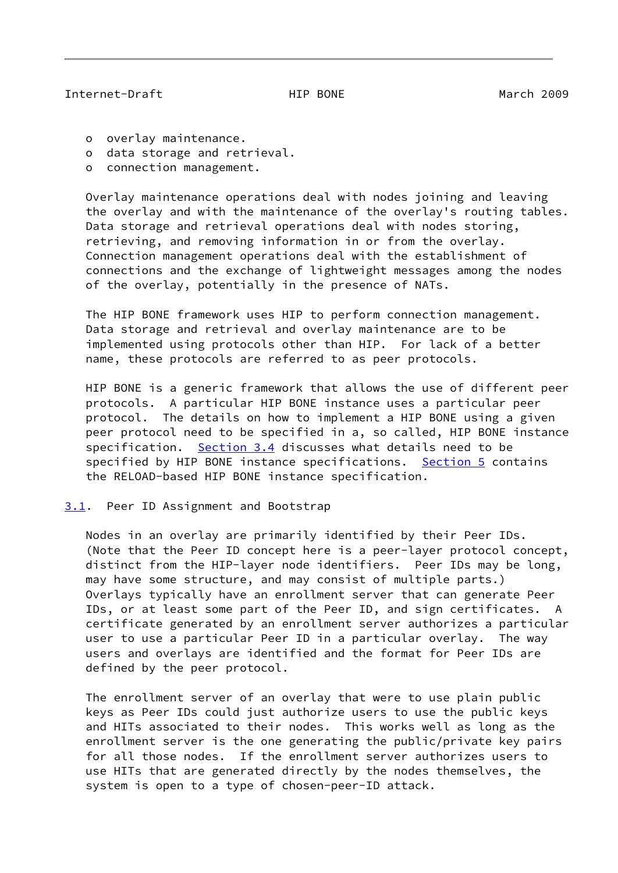### <span id="page-9-1"></span>Internet-Draft HIP BONE March 2009

o overlay maintenance.

- o data storage and retrieval.
- o connection management.

 Overlay maintenance operations deal with nodes joining and leaving the overlay and with the maintenance of the overlay's routing tables. Data storage and retrieval operations deal with nodes storing, retrieving, and removing information in or from the overlay. Connection management operations deal with the establishment of connections and the exchange of lightweight messages among the nodes of the overlay, potentially in the presence of NATs.

 The HIP BONE framework uses HIP to perform connection management. Data storage and retrieval and overlay maintenance are to be implemented using protocols other than HIP. For lack of a better name, these protocols are referred to as peer protocols.

 HIP BONE is a generic framework that allows the use of different peer protocols. A particular HIP BONE instance uses a particular peer protocol. The details on how to implement a HIP BONE using a given peer protocol need to be specified in a, so called, HIP BONE instance specification. [Section 3.4](#page-11-2) discusses what details need to be specified by HIP BONE instance specifications. [Section 5](#page-13-0) contains the RELOAD-based HIP BONE instance specification.

<span id="page-9-0"></span>[3.1](#page-9-0). Peer ID Assignment and Bootstrap

 Nodes in an overlay are primarily identified by their Peer IDs. (Note that the Peer ID concept here is a peer-layer protocol concept, distinct from the HIP-layer node identifiers. Peer IDs may be long, may have some structure, and may consist of multiple parts.) Overlays typically have an enrollment server that can generate Peer IDs, or at least some part of the Peer ID, and sign certificates. A certificate generated by an enrollment server authorizes a particular user to use a particular Peer ID in a particular overlay. The way users and overlays are identified and the format for Peer IDs are defined by the peer protocol.

 The enrollment server of an overlay that were to use plain public keys as Peer IDs could just authorize users to use the public keys and HITs associated to their nodes. This works well as long as the enrollment server is the one generating the public/private key pairs for all those nodes. If the enrollment server authorizes users to use HITs that are generated directly by the nodes themselves, the system is open to a type of chosen-peer-ID attack.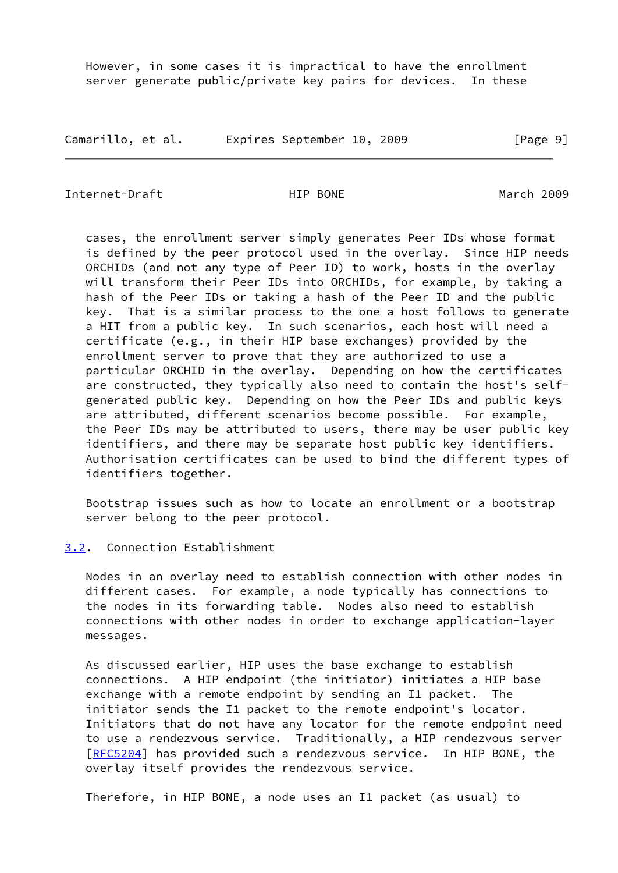However, in some cases it is impractical to have the enrollment server generate public/private key pairs for devices. In these

Camarillo, et al. Expires September 10, 2009 [Page 9]

<span id="page-10-1"></span>Internet-Draft HIP BONE March 2009

 cases, the enrollment server simply generates Peer IDs whose format is defined by the peer protocol used in the overlay. Since HIP needs ORCHIDs (and not any type of Peer ID) to work, hosts in the overlay will transform their Peer IDs into ORCHIDs, for example, by taking a hash of the Peer IDs or taking a hash of the Peer ID and the public key. That is a similar process to the one a host follows to generate a HIT from a public key. In such scenarios, each host will need a certificate (e.g., in their HIP base exchanges) provided by the enrollment server to prove that they are authorized to use a particular ORCHID in the overlay. Depending on how the certificates are constructed, they typically also need to contain the host's self generated public key. Depending on how the Peer IDs and public keys are attributed, different scenarios become possible. For example, the Peer IDs may be attributed to users, there may be user public key identifiers, and there may be separate host public key identifiers. Authorisation certificates can be used to bind the different types of identifiers together.

 Bootstrap issues such as how to locate an enrollment or a bootstrap server belong to the peer protocol.

### <span id="page-10-0"></span>[3.2](#page-10-0). Connection Establishment

 Nodes in an overlay need to establish connection with other nodes in different cases. For example, a node typically has connections to the nodes in its forwarding table. Nodes also need to establish connections with other nodes in order to exchange application-layer messages.

 As discussed earlier, HIP uses the base exchange to establish connections. A HIP endpoint (the initiator) initiates a HIP base exchange with a remote endpoint by sending an I1 packet. The initiator sends the I1 packet to the remote endpoint's locator. Initiators that do not have any locator for the remote endpoint need to use a rendezvous service. Traditionally, a HIP rendezvous server [\[RFC5204](https://datatracker.ietf.org/doc/pdf/rfc5204)] has provided such a rendezvous service. In HIP BONE, the overlay itself provides the rendezvous service.

Therefore, in HIP BONE, a node uses an I1 packet (as usual) to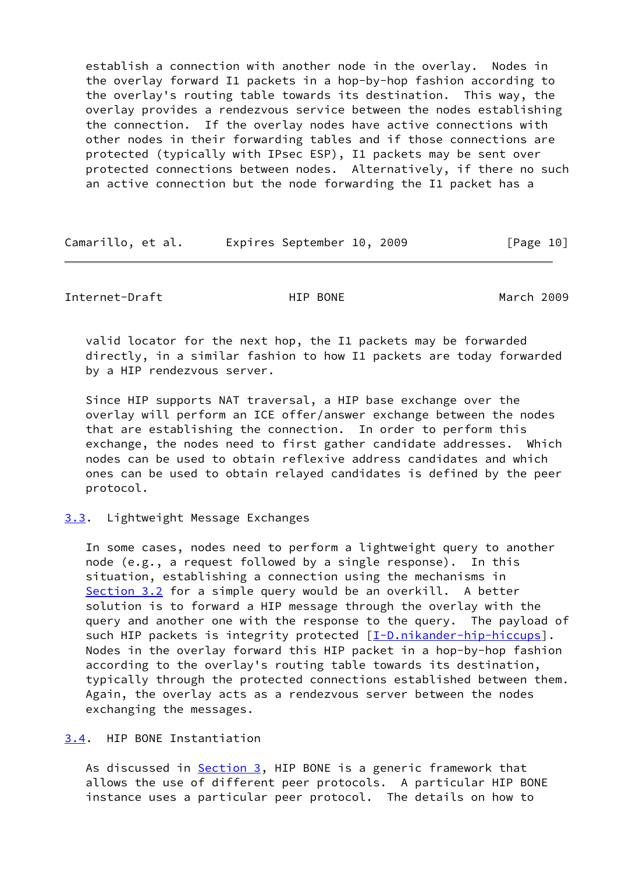establish a connection with another node in the overlay. Nodes in the overlay forward I1 packets in a hop-by-hop fashion according to the overlay's routing table towards its destination. This way, the overlay provides a rendezvous service between the nodes establishing the connection. If the overlay nodes have active connections with other nodes in their forwarding tables and if those connections are protected (typically with IPsec ESP), I1 packets may be sent over protected connections between nodes. Alternatively, if there no such an active connection but the node forwarding the I1 packet has a

| Camarillo, et al. | Expires September 10, 2009 |  | [Page 10] |
|-------------------|----------------------------|--|-----------|
|-------------------|----------------------------|--|-----------|

<span id="page-11-1"></span>Internet-Draft HIP BONE March 2009

 valid locator for the next hop, the I1 packets may be forwarded directly, in a similar fashion to how I1 packets are today forwarded by a HIP rendezvous server.

 Since HIP supports NAT traversal, a HIP base exchange over the overlay will perform an ICE offer/answer exchange between the nodes that are establishing the connection. In order to perform this exchange, the nodes need to first gather candidate addresses. Which nodes can be used to obtain reflexive address candidates and which ones can be used to obtain relayed candidates is defined by the peer protocol.

# <span id="page-11-0"></span>[3.3](#page-11-0). Lightweight Message Exchanges

 In some cases, nodes need to perform a lightweight query to another node (e.g., a request followed by a single response). In this situation, establishing a connection using the mechanisms in [Section 3.2](#page-10-0) for a simple query would be an overkill. A better solution is to forward a HIP message through the overlay with the query and another one with the response to the query. The payload of such HIP packets is integrity protected [\[I-D.nikander-hip-hiccups](#page-18-2)]. Nodes in the overlay forward this HIP packet in a hop-by-hop fashion according to the overlay's routing table towards its destination, typically through the protected connections established between them. Again, the overlay acts as a rendezvous server between the nodes exchanging the messages.

<span id="page-11-2"></span>[3.4](#page-11-2). HIP BONE Instantiation

As discussed in  $Section 3$ , HIP BONE is a generic framework that allows the use of different peer protocols. A particular HIP BONE instance uses a particular peer protocol. The details on how to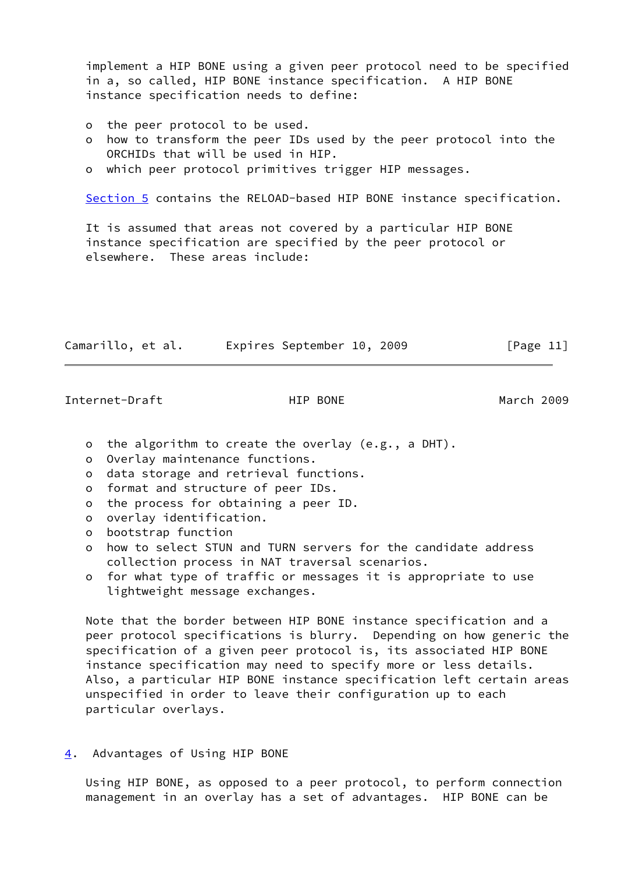implement a HIP BONE using a given peer protocol need to be specified in a, so called, HIP BONE instance specification. A HIP BONE instance specification needs to define:

- o the peer protocol to be used.
- o how to transform the peer IDs used by the peer protocol into the ORCHIDs that will be used in HIP.
- o which peer protocol primitives trigger HIP messages.

[Section 5](#page-13-0) contains the RELOAD-based HIP BONE instance specification.

 It is assumed that areas not covered by a particular HIP BONE instance specification are specified by the peer protocol or elsewhere. These areas include:

| Camarillo, et al. |  | Expires September 10, 2009 |  |  | [Page 11] |
|-------------------|--|----------------------------|--|--|-----------|
|-------------------|--|----------------------------|--|--|-----------|

<span id="page-12-1"></span>Internet-Draft HIP BONE March 2009

- o the algorithm to create the overlay (e.g., a DHT).
- o Overlay maintenance functions.
- o data storage and retrieval functions.
- o format and structure of peer IDs.
- o the process for obtaining a peer ID.
- o overlay identification.
- o bootstrap function
- o how to select STUN and TURN servers for the candidate address collection process in NAT traversal scenarios.
- o for what type of traffic or messages it is appropriate to use lightweight message exchanges.

 Note that the border between HIP BONE instance specification and a peer protocol specifications is blurry. Depending on how generic the specification of a given peer protocol is, its associated HIP BONE instance specification may need to specify more or less details. Also, a particular HIP BONE instance specification left certain areas unspecified in order to leave their configuration up to each particular overlays.

<span id="page-12-0"></span>[4](#page-12-0). Advantages of Using HIP BONE

 Using HIP BONE, as opposed to a peer protocol, to perform connection management in an overlay has a set of advantages. HIP BONE can be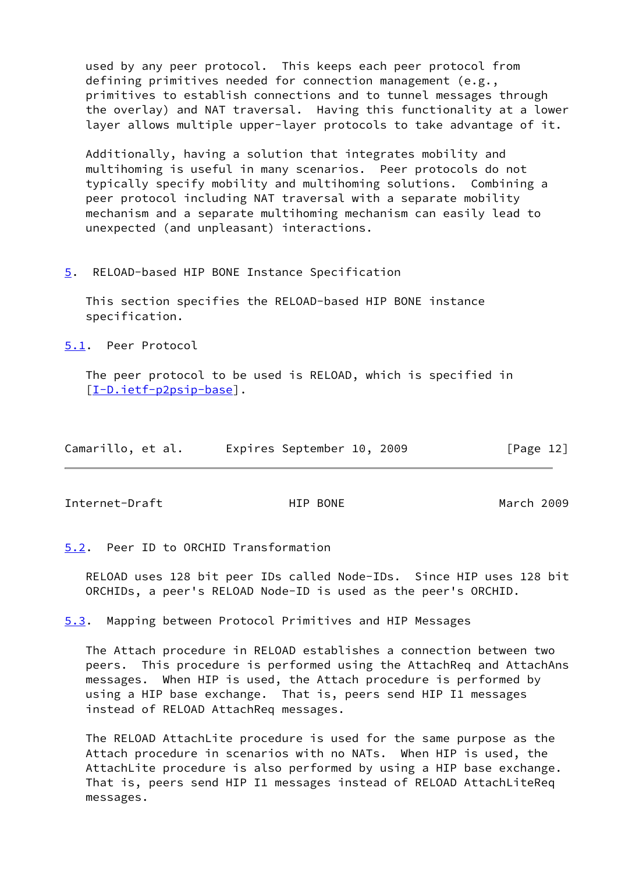used by any peer protocol. This keeps each peer protocol from defining primitives needed for connection management (e.g., primitives to establish connections and to tunnel messages through the overlay) and NAT traversal. Having this functionality at a lower layer allows multiple upper-layer protocols to take advantage of it.

 Additionally, having a solution that integrates mobility and multihoming is useful in many scenarios. Peer protocols do not typically specify mobility and multihoming solutions. Combining a peer protocol including NAT traversal with a separate mobility mechanism and a separate multihoming mechanism can easily lead to unexpected (and unpleasant) interactions.

<span id="page-13-0"></span>[5](#page-13-0). RELOAD-based HIP BONE Instance Specification

 This section specifies the RELOAD-based HIP BONE instance specification.

<span id="page-13-1"></span>[5.1](#page-13-1). Peer Protocol

 The peer protocol to be used is RELOAD, which is specified in [\[I-D.ietf-p2psip-base](#page-18-3)].

| Camarillo, et al. | Expires September 10, 2009 | [Page 12] |
|-------------------|----------------------------|-----------|
|-------------------|----------------------------|-----------|

<span id="page-13-3"></span>Internet-Draft HIP BONE March 2009

<span id="page-13-2"></span>[5.2](#page-13-2). Peer ID to ORCHID Transformation

 RELOAD uses 128 bit peer IDs called Node-IDs. Since HIP uses 128 bit ORCHIDs, a peer's RELOAD Node-ID is used as the peer's ORCHID.

<span id="page-13-4"></span>[5.3](#page-13-4). Mapping between Protocol Primitives and HIP Messages

 The Attach procedure in RELOAD establishes a connection between two peers. This procedure is performed using the AttachReq and AttachAns messages. When HIP is used, the Attach procedure is performed by using a HIP base exchange. That is, peers send HIP I1 messages instead of RELOAD AttachReq messages.

 The RELOAD AttachLite procedure is used for the same purpose as the Attach procedure in scenarios with no NATs. When HIP is used, the AttachLite procedure is also performed by using a HIP base exchange. That is, peers send HIP I1 messages instead of RELOAD AttachLiteReq messages.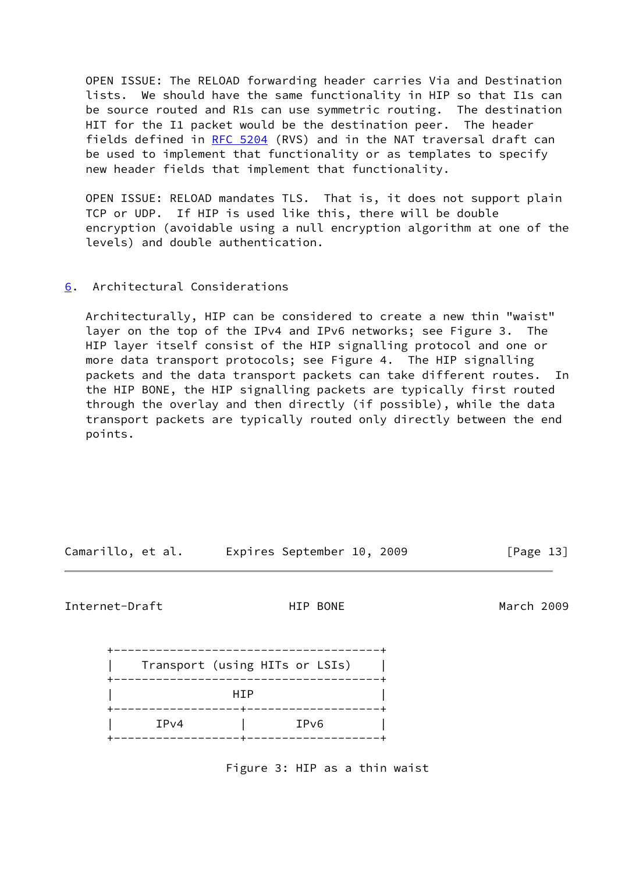OPEN ISSUE: The RELOAD forwarding header carries Via and Destination lists. We should have the same functionality in HIP so that I1s can be source routed and R1s can use symmetric routing. The destination HIT for the I1 packet would be the destination peer. The header fields defined in [RFC 5204](https://datatracker.ietf.org/doc/pdf/rfc5204) (RVS) and in the NAT traversal draft can be used to implement that functionality or as templates to specify new header fields that implement that functionality.

 OPEN ISSUE: RELOAD mandates TLS. That is, it does not support plain TCP or UDP. If HIP is used like this, there will be double encryption (avoidable using a null encryption algorithm at one of the levels) and double authentication.

# <span id="page-14-0"></span>[6](#page-14-0). Architectural Considerations

 Architecturally, HIP can be considered to create a new thin "waist" layer on the top of the IPv4 and IPv6 networks; see Figure 3. The HIP layer itself consist of the HIP signalling protocol and one or more data transport protocols; see Figure 4. The HIP signalling packets and the data transport packets can take different routes. In the HIP BONE, the HIP signalling packets are typically first routed through the overlay and then directly (if possible), while the data transport packets are typically routed only directly between the end points.

| Camarillo, et al. |  | Expires September 10, 2009 |  | [Page 13] |  |
|-------------------|--|----------------------------|--|-----------|--|
|                   |  |                            |  |           |  |

Internet-Draft HIP BONE March 2009

|      | Transport (using HITs or LSIs) |
|------|--------------------------------|
|      | HTP                            |
| IPv4 | IP <sub>v6</sub>               |

Figure 3: HIP as a thin waist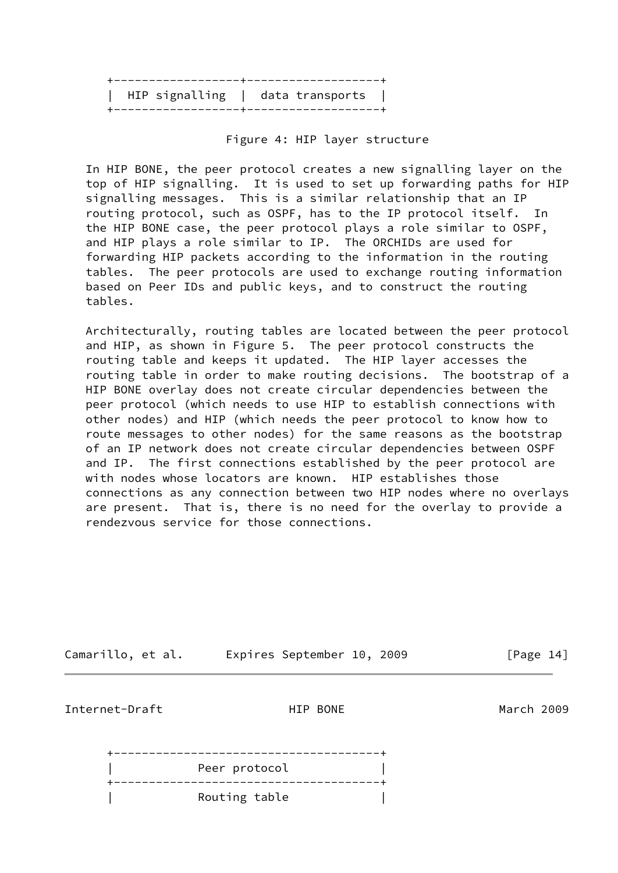| $HP$ signalling   data transports |  |  |
|-----------------------------------|--|--|
|                                   |  |  |

Figure 4: HIP layer structure

 In HIP BONE, the peer protocol creates a new signalling layer on the top of HIP signalling. It is used to set up forwarding paths for HIP signalling messages. This is a similar relationship that an IP routing protocol, such as OSPF, has to the IP protocol itself. In the HIP BONE case, the peer protocol plays a role similar to OSPF, and HIP plays a role similar to IP. The ORCHIDs are used for forwarding HIP packets according to the information in the routing tables. The peer protocols are used to exchange routing information based on Peer IDs and public keys, and to construct the routing tables.

 Architecturally, routing tables are located between the peer protocol and HIP, as shown in Figure 5. The peer protocol constructs the routing table and keeps it updated. The HIP layer accesses the routing table in order to make routing decisions. The bootstrap of a HIP BONE overlay does not create circular dependencies between the peer protocol (which needs to use HIP to establish connections with other nodes) and HIP (which needs the peer protocol to know how to route messages to other nodes) for the same reasons as the bootstrap of an IP network does not create circular dependencies between OSPF and IP. The first connections established by the peer protocol are with nodes whose locators are known. HIP establishes those connections as any connection between two HIP nodes where no overlays are present. That is, there is no need for the overlay to provide a rendezvous service for those connections.

<span id="page-15-0"></span>Camarillo, et al. Expires September 10, 2009 [Page 14] Internet-Draft HIP BONE March 2009 +--------------------------------------+ Peer protocol **cancer**  +--------------------------------------+ Routing table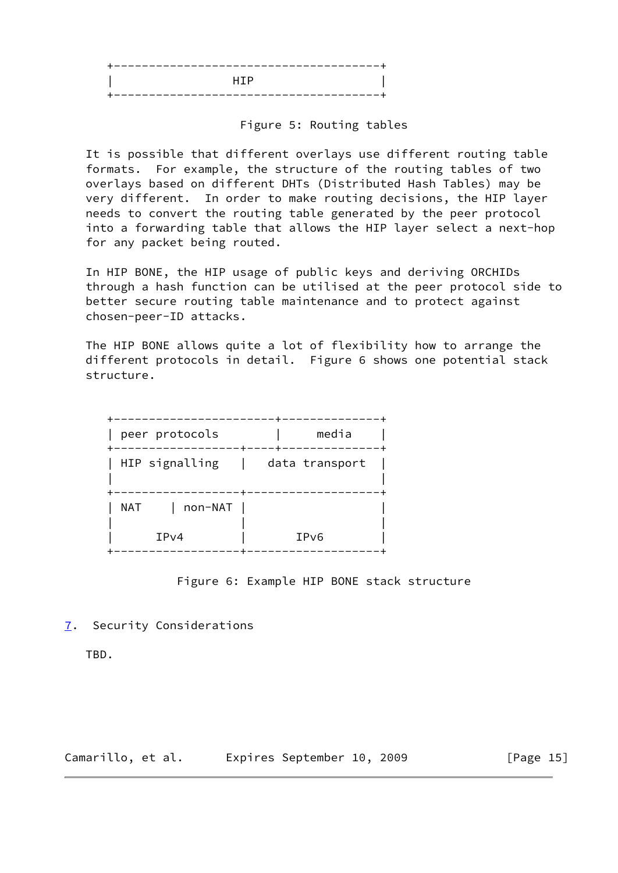| --- | <u> 1999 - Jan Bernard Alexander (</u> | ___ |
|-----|----------------------------------------|-----|
|     | <b>HTP</b>                             |     |
| - - |                                        |     |

# Figure 5: Routing tables

 It is possible that different overlays use different routing table formats. For example, the structure of the routing tables of two overlays based on different DHTs (Distributed Hash Tables) may be very different. In order to make routing decisions, the HIP layer needs to convert the routing table generated by the peer protocol into a forwarding table that allows the HIP layer select a next-hop for any packet being routed.

 In HIP BONE, the HIP usage of public keys and deriving ORCHIDs through a hash function can be utilised at the peer protocol side to better secure routing table maintenance and to protect against chosen-peer-ID attacks.

 The HIP BONE allows quite a lot of flexibility how to arrange the different protocols in detail. Figure 6 shows one potential stack structure.

| peer protocols           | media            |  |  |
|--------------------------|------------------|--|--|
| HIP signalling<br>$\Box$ | data transport   |  |  |
| non-NAT<br>NAT<br>IPv4   | IP <sub>v6</sub> |  |  |
|                          |                  |  |  |

### Figure 6: Example HIP BONE stack structure

# <span id="page-16-0"></span>[7](#page-16-0). Security Considerations

TBD.

Camarillo, et al. Expires September 10, 2009 [Page 15]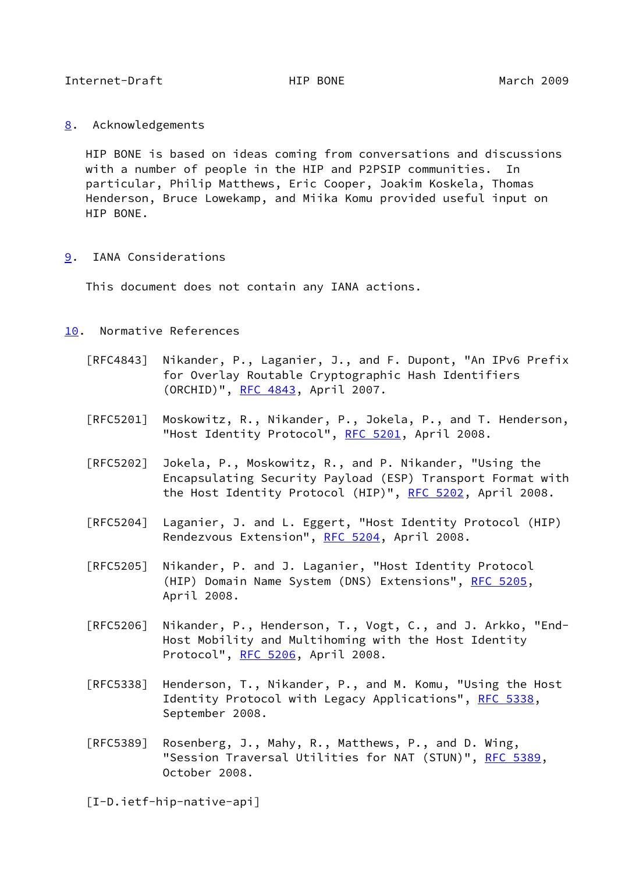<span id="page-17-1"></span><span id="page-17-0"></span>[8](#page-17-0). Acknowledgements

 HIP BONE is based on ideas coming from conversations and discussions with a number of people in the HIP and P2PSIP communities. In particular, Philip Matthews, Eric Cooper, Joakim Koskela, Thomas Henderson, Bruce Lowekamp, and Miika Komu provided useful input on HIP BONE.

<span id="page-17-2"></span>[9](#page-17-2). IANA Considerations

This document does not contain any IANA actions.

- <span id="page-17-3"></span>[10.](#page-17-3) Normative References
	- [RFC4843] Nikander, P., Laganier, J., and F. Dupont, "An IPv6 Prefix for Overlay Routable Cryptographic Hash Identifiers (ORCHID)", [RFC 4843](https://datatracker.ietf.org/doc/pdf/rfc4843), April 2007.
	- [RFC5201] Moskowitz, R., Nikander, P., Jokela, P., and T. Henderson, "Host Identity Protocol", [RFC 5201](https://datatracker.ietf.org/doc/pdf/rfc5201), April 2008.
	- [RFC5202] Jokela, P., Moskowitz, R., and P. Nikander, "Using the Encapsulating Security Payload (ESP) Transport Format with the Host Identity Protocol (HIP)", [RFC 5202](https://datatracker.ietf.org/doc/pdf/rfc5202), April 2008.
	- [RFC5204] Laganier, J. and L. Eggert, "Host Identity Protocol (HIP) Rendezvous Extension", [RFC 5204](https://datatracker.ietf.org/doc/pdf/rfc5204), April 2008.
	- [RFC5205] Nikander, P. and J. Laganier, "Host Identity Protocol (HIP) Domain Name System (DNS) Extensions", [RFC 5205,](https://datatracker.ietf.org/doc/pdf/rfc5205) April 2008.
	- [RFC5206] Nikander, P., Henderson, T., Vogt, C., and J. Arkko, "End- Host Mobility and Multihoming with the Host Identity Protocol", [RFC 5206](https://datatracker.ietf.org/doc/pdf/rfc5206), April 2008.
	- [RFC5338] Henderson, T., Nikander, P., and M. Komu, "Using the Host Identity Protocol with Legacy Applications", [RFC 5338](https://datatracker.ietf.org/doc/pdf/rfc5338), September 2008.
	- [RFC5389] Rosenberg, J., Mahy, R., Matthews, P., and D. Wing, "Session Traversal Utilities for NAT (STUN)", [RFC 5389](https://datatracker.ietf.org/doc/pdf/rfc5389), October 2008.

<span id="page-17-4"></span>[I-D.ietf-hip-native-api]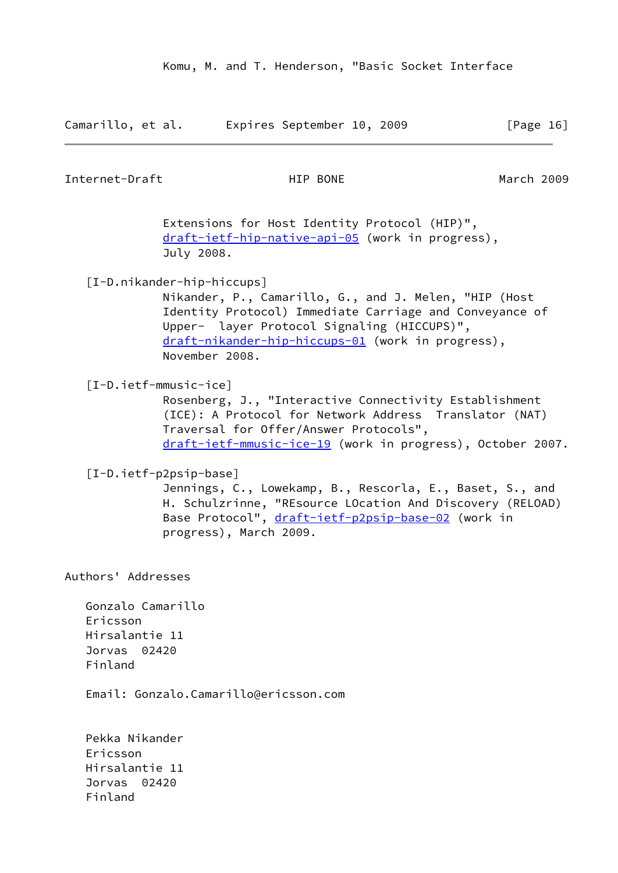| Camarillo, et al. |  | Expires September 10, 2009 |  | [Page 16] |  |
|-------------------|--|----------------------------|--|-----------|--|
|                   |  |                            |  |           |  |

<span id="page-18-0"></span>Internet-Draft HIP BONE March 2009

 Extensions for Host Identity Protocol (HIP)", [draft-ietf-hip-native-api-05](https://datatracker.ietf.org/doc/pdf/draft-ietf-hip-native-api-05) (work in progress), July 2008.

<span id="page-18-2"></span>[I-D.nikander-hip-hiccups]

 Nikander, P., Camarillo, G., and J. Melen, "HIP (Host Identity Protocol) Immediate Carriage and Conveyance of Upper- layer Protocol Signaling (HICCUPS)", [draft-nikander-hip-hiccups-01](https://datatracker.ietf.org/doc/pdf/draft-nikander-hip-hiccups-01) (work in progress), November 2008.

<span id="page-18-1"></span>[I-D.ietf-mmusic-ice]

 Rosenberg, J., "Interactive Connectivity Establishment (ICE): A Protocol for Network Address Translator (NAT) Traversal for Offer/Answer Protocols", [draft-ietf-mmusic-ice-19](https://datatracker.ietf.org/doc/pdf/draft-ietf-mmusic-ice-19) (work in progress), October 2007.

<span id="page-18-3"></span>[I-D.ietf-p2psip-base]

 Jennings, C., Lowekamp, B., Rescorla, E., Baset, S., and H. Schulzrinne, "REsource LOcation And Discovery (RELOAD) Base Protocol", [draft-ietf-p2psip-base-02](https://datatracker.ietf.org/doc/pdf/draft-ietf-p2psip-base-02) (work in progress), March 2009.

Authors' Addresses

 Gonzalo Camarillo Ericsson Hirsalantie 11 Jorvas 02420 Finland

Email: Gonzalo.Camarillo@ericsson.com

 Pekka Nikander Ericsson Hirsalantie 11 Jorvas 02420 Finland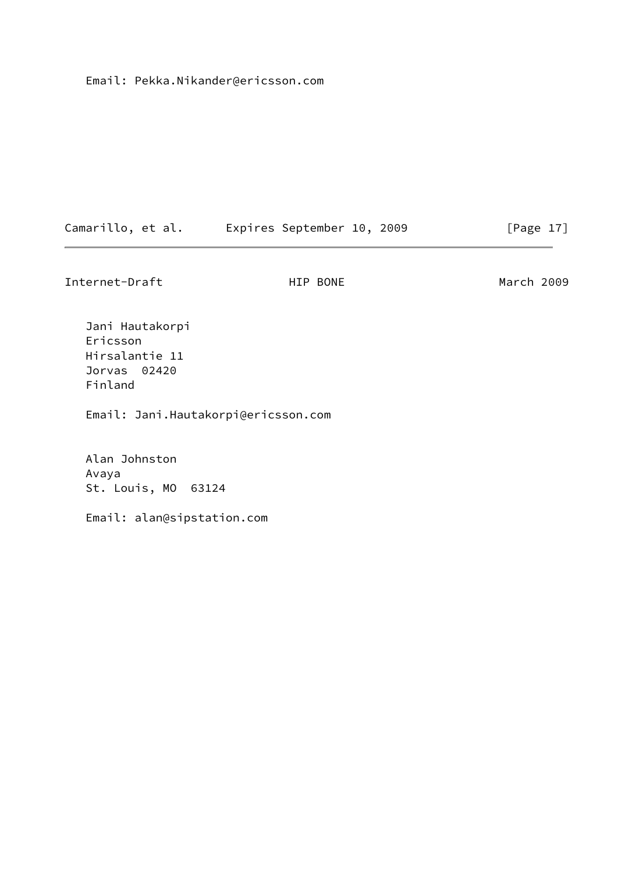Email: Pekka.Nikander@ericsson.com

| Camarillo, et al. |  | Expires September 10, 2009 |  | [Page 17] |  |
|-------------------|--|----------------------------|--|-----------|--|
|                   |  |                            |  |           |  |

Internet-Draft **HIP BONE** March 2009

 Jani Hautakorpi Ericsson Hirsalantie 11 Jorvas 02420 Finland

Email: Jani.Hautakorpi@ericsson.com

 Alan Johnston Avaya St. Louis, MO 63124

Email: alan@sipstation.com